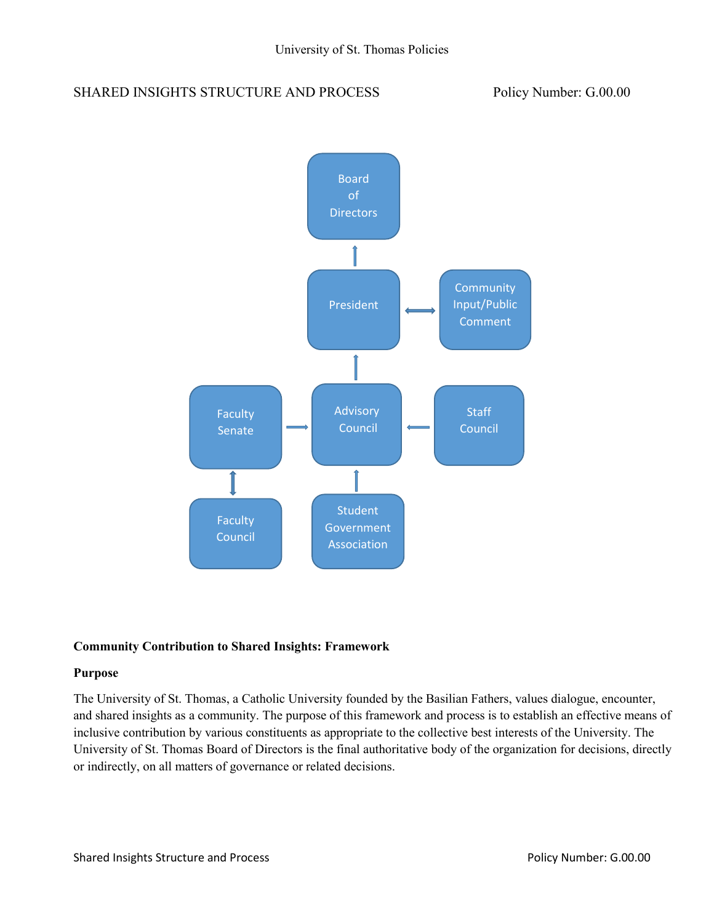# SHARED INSIGHTS STRUCTURE AND PROCESS Policy Number: G.00.00



#### **Community Contribution to Shared Insights: Framework**

#### **Purpose**

The University of St. Thomas, a Catholic University founded by the Basilian Fathers, values dialogue, encounter, and shared insights as a community. The purpose of this framework and process is to establish an effective means of inclusive contribution by various constituents as appropriate to the collective best interests of the University. The University of St. Thomas Board of Directors is the final authoritative body of the organization for decisions, directly or indirectly, on all matters of governance or related decisions.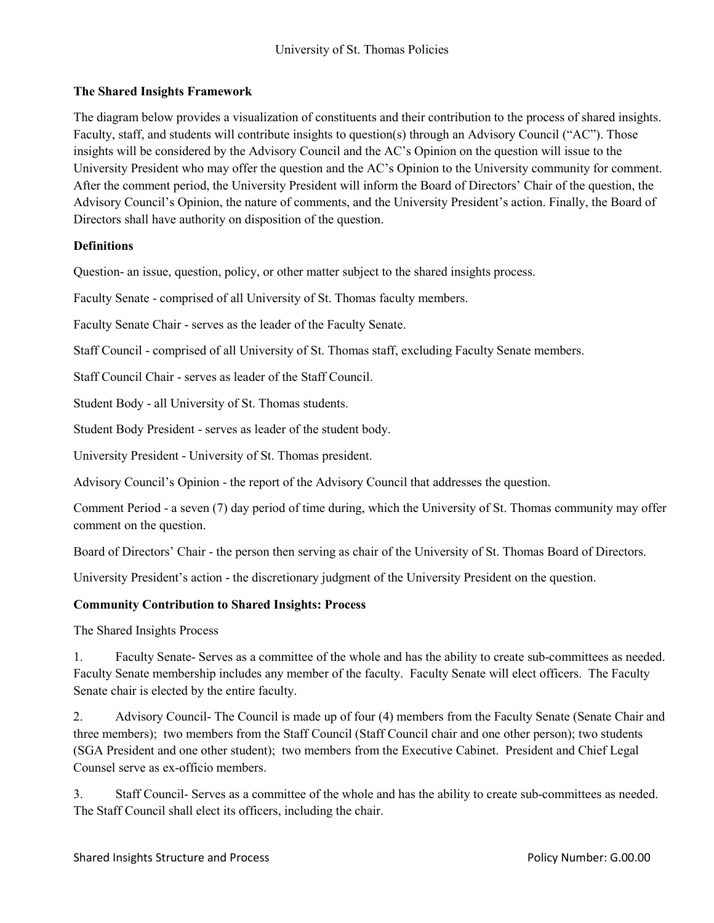## **The Shared Insights Framework**

The diagram below provides a visualization of constituents and their contribution to the process of shared insights. Faculty, staff, and students will contribute insights to question(s) through an Advisory Council ("AC"). Those insights will be considered by the Advisory Council and the AC's Opinion on the question will issue to the University President who may offer the question and the AC's Opinion to the University community for comment. After the comment period, the University President will inform the Board of Directors' Chair of the question, the Advisory Council's Opinion, the nature of comments, and the University President's action. Finally, the Board of Directors shall have authority on disposition of the question.

#### **Definitions**

Question- an issue, question, policy, or other matter subject to the shared insights process.

Faculty Senate - comprised of all University of St. Thomas faculty members.

Faculty Senate Chair - serves as the leader of the Faculty Senate.

Staff Council - comprised of all University of St. Thomas staff, excluding Faculty Senate members.

Staff Council Chair - serves as leader of the Staff Council.

Student Body - all University of St. Thomas students.

Student Body President - serves as leader of the student body.

University President - University of St. Thomas president.

Advisory Council's Opinion - the report of the Advisory Council that addresses the question.

Comment Period - a seven (7) day period of time during, which the University of St. Thomas community may offer comment on the question.

Board of Directors' Chair - the person then serving as chair of the University of St. Thomas Board of Directors.

University President's action - the discretionary judgment of the University President on the question.

### **Community Contribution to Shared Insights: Process**

The Shared Insights Process

1. Faculty Senate- Serves as a committee of the whole and has the ability to create sub-committees as needed. Faculty Senate membership includes any member of the faculty. Faculty Senate will elect officers. The Faculty Senate chair is elected by the entire faculty.

2. Advisory Council- The Council is made up of four (4) members from the Faculty Senate (Senate Chair and three members); two members from the Staff Council (Staff Council chair and one other person); two students (SGA President and one other student); two members from the Executive Cabinet. President and Chief Legal Counsel serve as ex-officio members.

3. Staff Council- Serves as a committee of the whole and has the ability to create sub-committees as needed. The Staff Council shall elect its officers, including the chair.